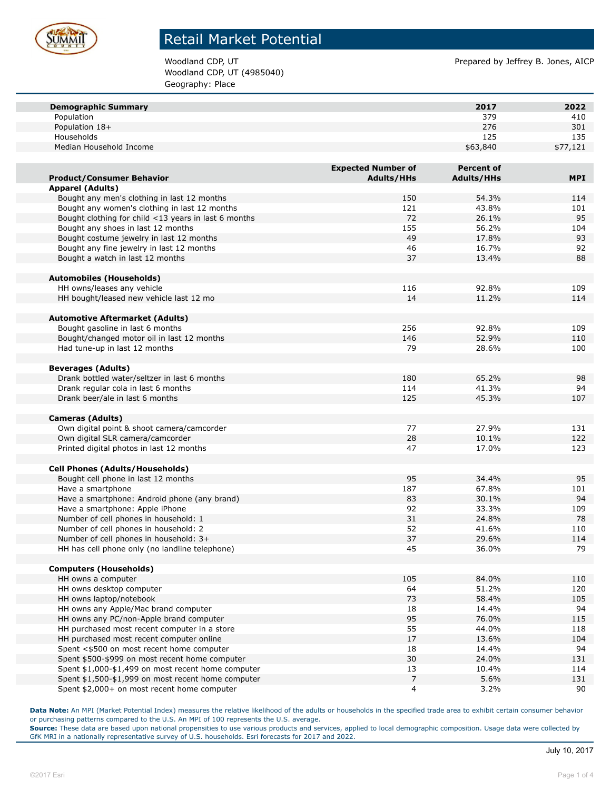

Woodland CDP, UT (4985040) Geography: Place

Woodland CDP, UT **Prepared by Jeffrey B. Jones, AICP** 

| <b>Demographic Summary</b>                           |                           | 2017              | 2022       |
|------------------------------------------------------|---------------------------|-------------------|------------|
| Population                                           |                           | 379               | 410        |
| Population 18+                                       |                           | 276               | 301        |
| Households                                           |                           | 125               | 135        |
| Median Household Income                              |                           | \$63,840          | \$77,121   |
|                                                      |                           |                   |            |
|                                                      | <b>Expected Number of</b> | <b>Percent of</b> |            |
| <b>Product/Consumer Behavior</b>                     | <b>Adults/HHs</b>         | <b>Adults/HHs</b> | <b>MPI</b> |
| <b>Apparel (Adults)</b>                              |                           |                   |            |
| Bought any men's clothing in last 12 months          | 150                       | 54.3%             | 114        |
| Bought any women's clothing in last 12 months        | 121                       | 43.8%             | 101        |
| Bought clothing for child <13 years in last 6 months | 72                        | 26.1%             | 95         |
| Bought any shoes in last 12 months                   | 155                       | 56.2%             | 104        |
| Bought costume jewelry in last 12 months             | 49                        | 17.8%             | 93         |
| Bought any fine jewelry in last 12 months            | 46                        | 16.7%             | 92         |
| Bought a watch in last 12 months                     | 37                        | 13.4%             | 88         |
|                                                      |                           |                   |            |
| <b>Automobiles (Households)</b>                      |                           |                   |            |
| HH owns/leases any vehicle                           | 116                       | 92.8%             | 109        |
| HH bought/leased new vehicle last 12 mo              | 14                        | 11.2%             | 114        |
|                                                      |                           |                   |            |
| <b>Automotive Aftermarket (Adults)</b>               |                           |                   |            |
| Bought gasoline in last 6 months                     | 256                       | 92.8%             | 109        |
| Bought/changed motor oil in last 12 months           | 146                       | 52.9%             | 110        |
| Had tune-up in last 12 months                        | 79                        | 28.6%             | 100        |
|                                                      |                           |                   |            |
| <b>Beverages (Adults)</b>                            |                           |                   |            |
| Drank bottled water/seltzer in last 6 months         | 180                       | 65.2%             | 98         |
| Drank regular cola in last 6 months                  | 114                       | 41.3%             | 94         |
| Drank beer/ale in last 6 months                      | 125                       | 45.3%             | 107        |
|                                                      |                           |                   |            |
| <b>Cameras (Adults)</b>                              |                           |                   |            |
| Own digital point & shoot camera/camcorder           | 77                        | 27.9%             | 131        |
| Own digital SLR camera/camcorder                     | 28                        | 10.1%             | 122        |
| Printed digital photos in last 12 months             | 47                        | 17.0%             | 123        |
|                                                      |                           |                   |            |
| <b>Cell Phones (Adults/Households)</b>               |                           |                   |            |
| Bought cell phone in last 12 months                  | 95                        | 34.4%             | 95         |
| Have a smartphone                                    | 187                       | 67.8%             | 101        |
| Have a smartphone: Android phone (any brand)         | 83                        | 30.1%             | 94         |
| Have a smartphone: Apple iPhone                      | 92                        | 33.3%             | 109        |
| Number of cell phones in household: 1                | 31                        | 24.8%             | 78         |
| Number of cell phones in household: 2                | 52<br>37                  | 41.6%             | 110<br>114 |
| Number of cell phones in household: 3+               |                           | 29.6%             |            |
| HH has cell phone only (no landline telephone)       | 45                        | 36.0%             | 79         |
| <b>Computers (Households)</b>                        |                           |                   |            |
| HH owns a computer                                   | 105                       | 84.0%             | 110        |
| HH owns desktop computer                             | 64                        | 51.2%             | 120        |
| HH owns laptop/notebook                              | 73                        | 58.4%             | 105        |
| HH owns any Apple/Mac brand computer                 | 18                        | 14.4%             | 94         |
| HH owns any PC/non-Apple brand computer              | 95                        | 76.0%             | 115        |
| HH purchased most recent computer in a store         | 55                        | 44.0%             | 118        |
| HH purchased most recent computer online             | 17                        | 13.6%             | 104        |
| Spent <\$500 on most recent home computer            | 18                        | 14.4%             | 94         |
| Spent \$500-\$999 on most recent home computer       | 30                        | 24.0%             | 131        |
| Spent \$1,000-\$1,499 on most recent home computer   | 13                        | 10.4%             | 114        |
| Spent \$1,500-\$1,999 on most recent home computer   | $\overline{7}$            | 5.6%              | 131        |
| Spent \$2,000+ on most recent home computer          | $\overline{4}$            | 3.2%              | 90         |

**Data Note:** An MPI (Market Potential Index) measures the relative likelihood of the adults or households in the specified trade area to exhibit certain consumer behavior or purchasing patterns compared to the U.S. An MPI of 100 represents the U.S. average.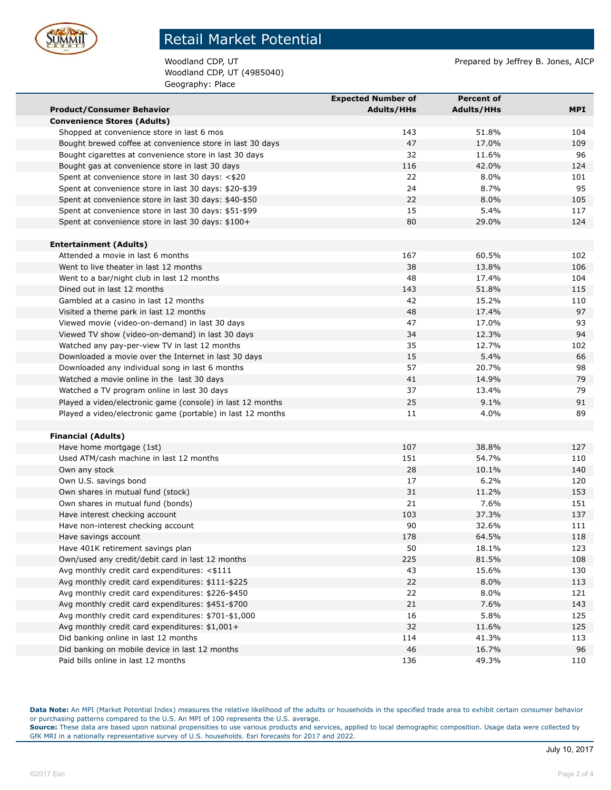

Woodland CDP, UT (4985040) Geography: Place

Woodland CDP, UT **Prepared by Jeffrey B. Jones, AICP** 

|                                                             | <b>Expected Number of</b> | <b>Percent of</b> |     |
|-------------------------------------------------------------|---------------------------|-------------------|-----|
| <b>Product/Consumer Behavior</b>                            | <b>Adults/HHs</b>         | <b>Adults/HHs</b> | MPI |
| <b>Convenience Stores (Adults)</b>                          |                           |                   |     |
| Shopped at convenience store in last 6 mos                  | 143                       | 51.8%             | 104 |
| Bought brewed coffee at convenience store in last 30 days   | 47                        | 17.0%             | 109 |
| Bought cigarettes at convenience store in last 30 days      | 32                        | 11.6%             | 96  |
| Bought gas at convenience store in last 30 days             | 116                       | 42.0%             | 124 |
| Spent at convenience store in last 30 days: <\$20           | 22                        | 8.0%              | 101 |
| Spent at convenience store in last 30 days: \$20-\$39       | 24                        | 8.7%              | 95  |
| Spent at convenience store in last 30 days: \$40-\$50       | 22                        | 8.0%              | 105 |
| Spent at convenience store in last 30 days: \$51-\$99       | 15                        | 5.4%              | 117 |
| Spent at convenience store in last 30 days: \$100+          | 80                        | 29.0%             | 124 |
|                                                             |                           |                   |     |
| <b>Entertainment (Adults)</b>                               |                           |                   |     |
| Attended a movie in last 6 months                           | 167                       | 60.5%             | 102 |
| Went to live theater in last 12 months                      | 38                        | 13.8%             | 106 |
| Went to a bar/night club in last 12 months                  | 48                        | 17.4%             | 104 |
| Dined out in last 12 months                                 | 143                       | 51.8%             | 115 |
| Gambled at a casino in last 12 months                       | 42                        | 15.2%             | 110 |
| Visited a theme park in last 12 months                      | 48                        | 17.4%             | 97  |
| Viewed movie (video-on-demand) in last 30 days              | 47                        | 17.0%             | 93  |
| Viewed TV show (video-on-demand) in last 30 days            | 34                        | 12.3%             | 94  |
| Watched any pay-per-view TV in last 12 months               | 35                        | 12.7%             | 102 |
| Downloaded a movie over the Internet in last 30 days        | 15                        | 5.4%              | 66  |
| Downloaded any individual song in last 6 months             | 57                        | 20.7%             | 98  |
| Watched a movie online in the last 30 days                  | 41                        | 14.9%             | 79  |
| Watched a TV program online in last 30 days                 | 37                        | 13.4%             | 79  |
| Played a video/electronic game (console) in last 12 months  | 25                        | 9.1%              | 91  |
| Played a video/electronic game (portable) in last 12 months | 11                        | 4.0%              | 89  |
|                                                             |                           |                   |     |
| <b>Financial (Adults)</b>                                   |                           |                   |     |
| Have home mortgage (1st)                                    | 107                       | 38.8%             | 127 |
| Used ATM/cash machine in last 12 months                     | 151                       | 54.7%             | 110 |
| Own any stock                                               | 28                        | 10.1%             | 140 |
| Own U.S. savings bond                                       | 17                        | 6.2%              | 120 |
| Own shares in mutual fund (stock)                           | 31                        | 11.2%             | 153 |
| Own shares in mutual fund (bonds)                           | 21                        | 7.6%              | 151 |
| Have interest checking account                              | 103                       | 37.3%             | 137 |
| Have non-interest checking account                          | 90                        | 32.6%             | 111 |
| Have savings account                                        | 178                       | 64.5%             | 118 |
| Have 401K retirement savings plan                           | 50                        | 18.1%             | 123 |
| Own/used any credit/debit card in last 12 months            | 225                       | 81.5%             | 108 |
| Avg monthly credit card expenditures: <\$111                | 43                        | 15.6%             | 130 |
| Avg monthly credit card expenditures: \$111-\$225           | 22                        | 8.0%              | 113 |
| Avg monthly credit card expenditures: \$226-\$450           | 22                        | 8.0%              | 121 |
| Avg monthly credit card expenditures: \$451-\$700           | 21                        | 7.6%              | 143 |
| Avg monthly credit card expenditures: \$701-\$1,000         | 16                        | 5.8%              | 125 |
| Avg monthly credit card expenditures: \$1,001+              | 32                        | 11.6%             | 125 |
| Did banking online in last 12 months                        | 114                       | 41.3%             | 113 |
| Did banking on mobile device in last 12 months              | 46                        | 16.7%             | 96  |
| Paid bills online in last 12 months                         | 136                       | 49.3%             | 110 |

**Data Note:** An MPI (Market Potential Index) measures the relative likelihood of the adults or households in the specified trade area to exhibit certain consumer behavior or purchasing patterns compared to the U.S. An MPI of 100 represents the U.S. average.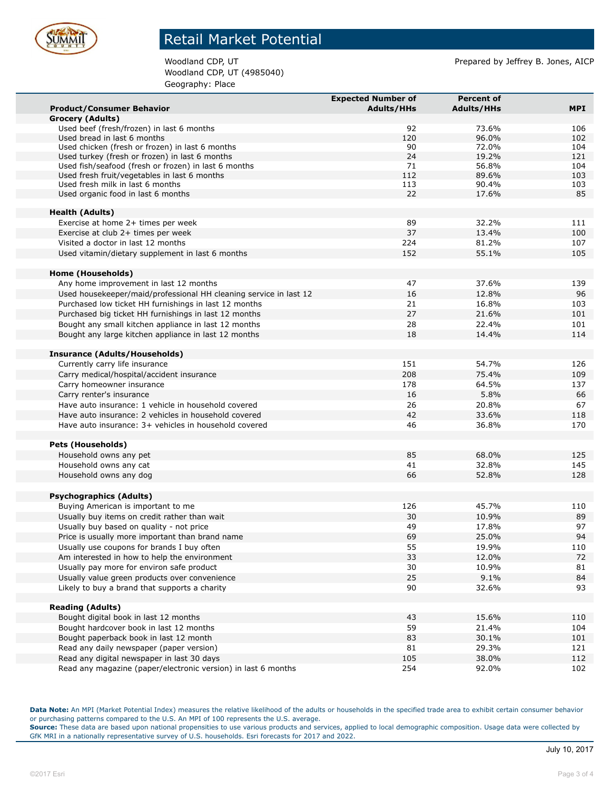

Woodland CDP, UT (4985040) Geography: Place

Woodland CDP, UT **Prepared by Jeffrey B. Jones, AICP** 

|                                                                                                        | <b>Expected Number of</b> | <b>Percent of</b> |            |
|--------------------------------------------------------------------------------------------------------|---------------------------|-------------------|------------|
| <b>Product/Consumer Behavior</b>                                                                       | <b>Adults/HHs</b>         | <b>Adults/HHs</b> | <b>MPI</b> |
| <b>Grocery (Adults)</b>                                                                                |                           |                   |            |
| Used beef (fresh/frozen) in last 6 months                                                              | 92                        | 73.6%             | 106        |
| Used bread in last 6 months                                                                            | 120                       | 96.0%             | 102        |
| Used chicken (fresh or frozen) in last 6 months                                                        | 90                        | 72.0%             | 104        |
| Used turkey (fresh or frozen) in last 6 months<br>Used fish/seafood (fresh or frozen) in last 6 months | 24<br>71                  | 19.2%<br>56.8%    | 121<br>104 |
| Used fresh fruit/vegetables in last 6 months                                                           | 112                       | 89.6%             | 103        |
| Used fresh milk in last 6 months                                                                       | 113                       | 90.4%             | 103        |
| Used organic food in last 6 months                                                                     | 22                        | 17.6%             | 85         |
|                                                                                                        |                           |                   |            |
| <b>Health (Adults)</b>                                                                                 |                           |                   |            |
| Exercise at home 2+ times per week                                                                     | 89                        | 32.2%             | 111        |
| Exercise at club 2+ times per week                                                                     | 37                        | 13.4%             | 100        |
| Visited a doctor in last 12 months                                                                     | 224                       | 81.2%             | 107        |
| Used vitamin/dietary supplement in last 6 months                                                       | 152                       | 55.1%             | 105        |
|                                                                                                        |                           |                   |            |
| Home (Households)                                                                                      |                           |                   |            |
| Any home improvement in last 12 months                                                                 | 47                        | 37.6%             | 139        |
| Used housekeeper/maid/professional HH cleaning service in last 12                                      | 16                        | 12.8%             | 96         |
| Purchased low ticket HH furnishings in last 12 months                                                  | 21                        | 16.8%             | 103        |
| Purchased big ticket HH furnishings in last 12 months                                                  | 27                        | 21.6%             | 101        |
| Bought any small kitchen appliance in last 12 months                                                   | 28                        | 22.4%             | 101        |
| Bought any large kitchen appliance in last 12 months                                                   | 18                        | 14.4%             | 114        |
| <b>Insurance (Adults/Households)</b>                                                                   |                           |                   |            |
| Currently carry life insurance                                                                         | 151                       | 54.7%             | 126        |
| Carry medical/hospital/accident insurance                                                              | 208                       | 75.4%             | 109        |
| Carry homeowner insurance                                                                              | 178                       | 64.5%             | 137        |
| Carry renter's insurance                                                                               | 16                        | 5.8%              | 66         |
| Have auto insurance: 1 vehicle in household covered                                                    | 26                        | 20.8%             | 67         |
| Have auto insurance: 2 vehicles in household covered                                                   | 42                        | 33.6%             | 118        |
| Have auto insurance: 3+ vehicles in household covered                                                  | 46                        | 36.8%             | 170        |
|                                                                                                        |                           |                   |            |
| <b>Pets (Households)</b>                                                                               |                           |                   |            |
| Household owns any pet                                                                                 | 85                        | 68.0%             | 125        |
| Household owns any cat                                                                                 | 41                        | 32.8%             | 145        |
| Household owns any dog                                                                                 | 66                        | 52.8%             | 128        |
|                                                                                                        |                           |                   |            |
| <b>Psychographics (Adults)</b>                                                                         |                           |                   |            |
| Buying American is important to me                                                                     | 126                       | 45.7%             | 110        |
| Usually buy items on credit rather than wait                                                           | 30                        | 10.9%             | 89         |
| Usually buy based on quality - not price                                                               | 49                        | 17.8%             | 97         |
| Price is usually more important than brand name                                                        | 69                        | 25.0%             | 94         |
| Usually use coupons for brands I buy often                                                             | 55                        | 19.9%             | 110        |
| Am interested in how to help the environment                                                           | 33                        | 12.0%             | 72         |
| Usually pay more for environ safe product                                                              | 30                        | 10.9%             | 81         |
| Usually value green products over convenience                                                          | 25                        | 9.1%              | 84         |
| Likely to buy a brand that supports a charity                                                          | 90                        | 32.6%             | 93         |
|                                                                                                        |                           |                   |            |
| <b>Reading (Adults)</b>                                                                                |                           |                   |            |
| Bought digital book in last 12 months                                                                  | 43                        | 15.6%             | 110        |
| Bought hardcover book in last 12 months                                                                | 59                        | 21.4%             | 104        |
| Bought paperback book in last 12 month                                                                 | 83                        | 30.1%             | 101        |
| Read any daily newspaper (paper version)                                                               | 81                        | 29.3%             | 121        |
| Read any digital newspaper in last 30 days                                                             | 105                       | 38.0%             | 112        |
| Read any magazine (paper/electronic version) in last 6 months                                          | 254                       | 92.0%             | 102        |

**Data Note:** An MPI (Market Potential Index) measures the relative likelihood of the adults or households in the specified trade area to exhibit certain consumer behavior or purchasing patterns compared to the U.S. An MPI of 100 represents the U.S. average.